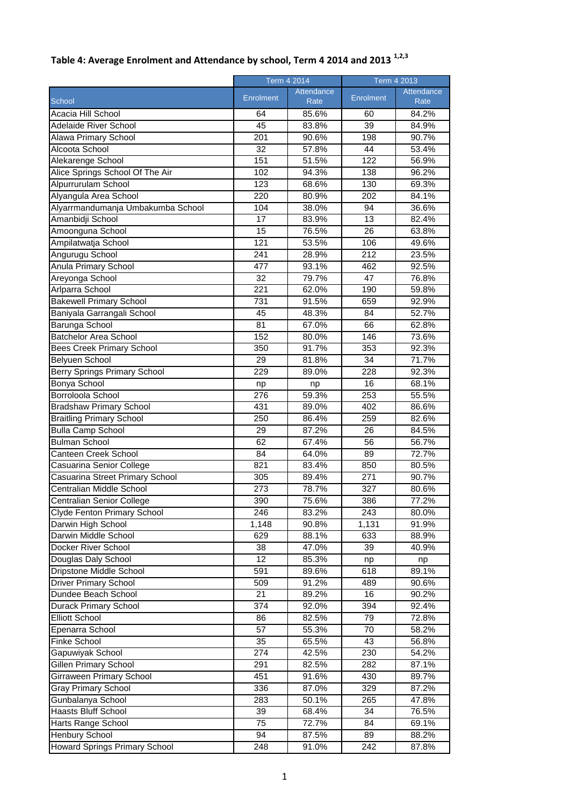|                                   | Term 4 2014        |                    | Term 4 2013 |                    |
|-----------------------------------|--------------------|--------------------|-------------|--------------------|
| School                            | Enrolment          | Attendance<br>Rate | Enrolment   | Attendance<br>Rate |
| Acacia Hill School                | 64                 | 85.6%              | 60          | 84.2%              |
| Adelaide River School             | 45                 | 83.8%              | 39          | 84.9%              |
| Alawa Primary School              | 201                | 90.6%              | 198         | 90.7%              |
| Alcoota School                    | 32                 | 57.8%              | 44          | 53.4%              |
| Alekarenge School                 | 151                | 51.5%              | 122         | 56.9%              |
| Alice Springs School Of The Air   | 102                | 94.3%              | 138         | 96.2%              |
| Alpurrurulam School               | 123                | 68.6%              | 130         | 69.3%              |
| Alyangula Area School             | 220                | 80.9%              | 202         | 84.1%              |
| Alyarrmandumanja Umbakumba School | 104                | 38.0%              | 94          | 36.6%              |
| Amanbidji School                  | 17                 | 83.9%              | 13          | 82.4%              |
| Amoonguna School                  | 15                 | 76.5%              | 26          | 63.8%              |
| Ampilatwatja School               | 121                | 53.5%              | 106         | 49.6%              |
| Angurugu School                   | 241                | 28.9%              | 212         | 23.5%              |
| <b>Anula Primary School</b>       | 477                | 93.1%              | 462         | 92.5%              |
| Areyonga School                   | $\overline{32}$    | 79.7%              | 47          | 76.8%              |
| Arlparra School                   | 221                | 62.0%              | 190         | 59.8%              |
| <b>Bakewell Primary School</b>    | 731                | 91.5%              | 659         | 92.9%              |
| Baniyala Garrangali School        | 45                 | 48.3%              | 84          | 52.7%              |
| Barunga School                    | 81                 | 67.0%              | 66          | 62.8%              |
| <b>Batchelor Area School</b>      | 152                | 80.0%              | 146         | 73.6%              |
| <b>Bees Creek Primary School</b>  | 350                | 91.7%              | 353         | 92.3%              |
| Belyuen School                    | 29                 | 81.8%              | 34          | 71.7%              |
| Berry Springs Primary School      | 229                | 89.0%              | 228         | 92.3%              |
| Bonya School                      | np                 | np                 | 16          | 68.1%              |
| Borroloola School                 | 276                | 59.3%              | 253         | 55.5%              |
| <b>Bradshaw Primary School</b>    | 431                | 89.0%              | 402         | 86.6%              |
| <b>Braitling Primary School</b>   | 250                | 86.4%              | 259         | 82.6%              |
| <b>Bulla Camp School</b>          | 29                 | 87.2%              | 26          | 84.5%              |
| <b>Bulman School</b>              | 62                 | 67.4%              | 56          | 56.7%              |
| Canteen Creek School              | 84                 | 64.0%              | 89          | 72.7%              |
| Casuarina Senior College          | 821                | 83.4%              | 850         | 80.5%              |
| Casuarina Street Primary School   | 305                | 89.4%              | 271         | 90.7%              |
| Centralian Middle School          | 273                | 78.7%              | 327         | 80.6%              |
| Centralian Senior College         | 390                | 75.6%              | 386         | 77.2%              |
| Clyde Fenton Primary School       | 246                | 83.2%              | 243         | 80.0%              |
| Darwin High School                | $\overline{1,}148$ | 90.8%              | 1,131       | 91.9%              |
| Darwin Middle School              | 629                | 88.1%              | 633         | 88.9%              |
| Docker River School               | 38                 | 47.0%              | 39          | 40.9%              |
| Douglas Daly School               | 12                 | 85.3%              | np          | np                 |
| Dripstone Middle School           | 591                | 89.6%              | 618         | 89.1%              |
| <b>Driver Primary School</b>      | 509                | 91.2%              | 489         | 90.6%              |
| Dundee Beach School               | 21                 | 89.2%              | 16          | 90.2%              |
| Durack Primary School             | 374                | 92.0%              | 394         | 92.4%              |
| <b>Elliott School</b>             | 86                 | 82.5%              | 79          | 72.8%              |
| Epenarra School                   | 57                 | 55.3%              | 70          | 58.2%              |
| Finke School                      | 35                 | 65.5%              | 43          | 56.8%              |
| Gapuwiyak School                  | 274                | 42.5%              | 230         | 54.2%              |
| Gillen Primary School             | 291                | 82.5%              | 282         | 87.1%              |
| Girraween Primary School          | 451                | 91.6%              | 430         | 89.7%              |
| Gray Primary School               | 336                | 87.0%              | 329         | 87.2%              |
| Gunbalanya School                 | 283                | 50.1%              | 265         | 47.8%              |
| Haasts Bluff School               | 39                 | 68.4%              | 34          | 76.5%              |
| Harts Range School                | 75                 |                    | 84          |                    |
| <b>Henbury School</b>             | 94                 | 72.7%<br>87.5%     | 89          | 69.1%<br>88.2%     |
| Howard Springs Primary School     | 248                | 91.0%              | 242         | 87.8%              |
|                                   |                    |                    |             |                    |

## **Table 4: Average Enrolment and Attendance by school, Term 4 2014 and 2013 1,2,3**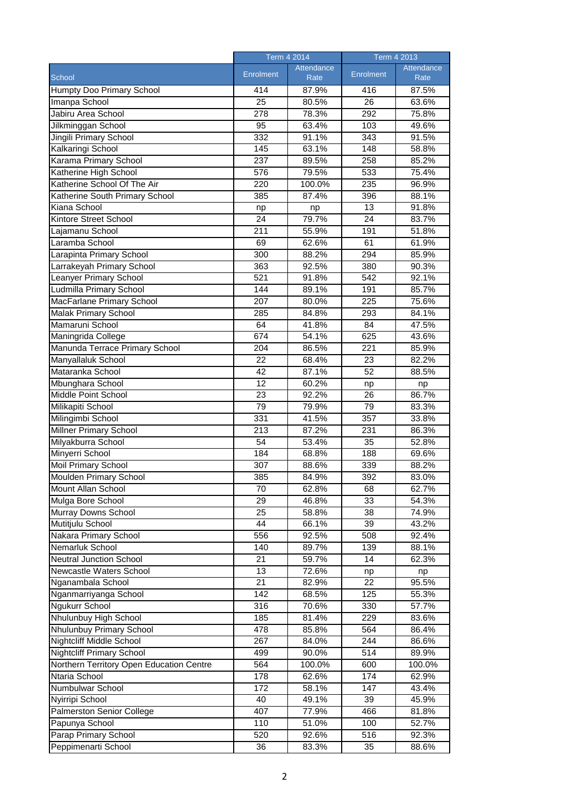|                                          | Term 4 2014      |            | <b>Term 4 2013</b> |            |
|------------------------------------------|------------------|------------|--------------------|------------|
|                                          | Enrolment        | Attendance | Enrolment          | Attendance |
| School                                   |                  | Rate       |                    | Rate       |
| <b>Humpty Doo Primary School</b>         | 414              | 87.9%      | 416                | 87.5%      |
| Imanpa School                            | 25               | 80.5%      | 26                 | 63.6%      |
| Jabiru Area School                       | 278              | 78.3%      | $\overline{292}$   | 75.8%      |
| Jilkminggan School                       | 95               | 63.4%      | 103                | 49.6%      |
| Jingili Primary School                   | 332              | 91.1%      | 343                | 91.5%      |
| Kalkaringi School                        | 145              | 63.1%      | 148                | 58.8%      |
| Karama Primary School                    | 237              | 89.5%      | 258                | 85.2%      |
| Katherine High School                    | 576              | 79.5%      | 533                | 75.4%      |
| Katherine School Of The Air              | 220              | 100.0%     | 235                | 96.9%      |
| Katherine South Primary School           | 385              | 87.4%      | 396                | 88.1%      |
| Kiana School                             | np               | np         | 13                 | 91.8%      |
| Kintore Street School                    | 24               | 79.7%      | 24                 | 83.7%      |
| Lajamanu School                          | $\overline{211}$ | 55.9%      | 191                | 51.8%      |
| Laramba School                           | 69               | 62.6%      | 61                 | 61.9%      |
| Larapinta Primary School                 | 300              | 88.2%      | 294                | 85.9%      |
| Larrakeyah Primary School                | 363              | 92.5%      | 380                | 90.3%      |
| Leanyer Primary School                   | 521              | 91.8%      | 542                | 92.1%      |
| Ludmilla Primary School                  | 144              | 89.1%      | 191                | 85.7%      |
| <b>MacFarlane Primary School</b>         | $\overline{207}$ | 80.0%      | 225                | 75.6%      |
| <b>Malak Primary School</b>              | 285              | 84.8%      | 293                | 84.1%      |
| Mamaruni School                          | 64               | 41.8%      | 84                 | 47.5%      |
| Maningrida College                       | 674              | 54.1%      | 625                | 43.6%      |
| Manunda Terrace Primary School           | 204              | 86.5%      | 221                | 85.9%      |
| Manyallaluk School                       | $\overline{22}$  | 68.4%      | 23                 | 82.2%      |
| Mataranka School                         | 42               | 87.1%      | $\overline{52}$    | 88.5%      |
| Mbunghara School                         | 12               | 60.2%      | np                 | np         |
| Middle Point School                      | $\overline{23}$  | 92.2%      | 26                 | 86.7%      |
| Milikapiti School                        | 79               | 79.9%      | 79                 | 83.3%      |
| Milingimbi School                        | 331              | 41.5%      | 357                | 33.8%      |
| Millner Primary School                   | 213              | 87.2%      | 231                | 86.3%      |
| Milyakburra School                       | 54               | 53.4%      | 35                 | 52.8%      |
| Minyerri School                          | 184              | 68.8%      | 188                | 69.6%      |
| <b>Moil Primary School</b>               | 307              | 88.6%      | 339                | 88.2%      |
| <b>Moulden Primary School</b>            | 385              | 84.9%      | 392                | 83.0%      |
| Mount Allan School                       | 70               | 62.8%      | 68                 | 62.7%      |
| Mulga Bore School                        | 29               | 46.8%      | 33                 | 54.3%      |
| Murray Downs School                      | 25               | 58.8%      | 38                 | 74.9%      |
| Mutitjulu School                         | 44               | 66.1%      | 39                 | 43.2%      |
| Nakara Primary School                    | 556              | 92.5%      | 508                | 92.4%      |
| Nemarluk School                          | 140              | 89.7%      | 139                | 88.1%      |
| Neutral Junction School                  | 21               | 59.7%      | 14                 | 62.3%      |
| Newcastle Waters School                  | 13               | 72.6%      | np                 | np         |
| Nganambala School                        | 21               | 82.9%      | 22                 | 95.5%      |
| Nganmarriyanga School                    | 142              | 68.5%      | 125                | 55.3%      |
| Ngukurr School                           | 316              | 70.6%      | 330                | 57.7%      |
| Nhulunbuy High School                    | 185              | 81.4%      | 229                | 83.6%      |
| Nhulunbuy Primary School                 | 478              | 85.8%      | 564                | 86.4%      |
| <b>Nightcliff Middle School</b>          | 267              | 84.0%      | 244                | 86.6%      |
| <b>Nightcliff Primary School</b>         | 499              | 90.0%      | 514                | 89.9%      |
| Northern Territory Open Education Centre | 564              | 100.0%     | 600                | 100.0%     |
| Ntaria School                            | 178              | 62.6%      | 174                | 62.9%      |
| Numbulwar School                         | 172              | 58.1%      | 147                | 43.4%      |
| Nyirripi School                          | 40               | 49.1%      | 39                 | 45.9%      |
| <b>Palmerston Senior College</b>         | 407              | 77.9%      | 466                | 81.8%      |
| Papunya School                           | 110              | 51.0%      | 100                | 52.7%      |
| Parap Primary School                     | 520              | 92.6%      | 516                | 92.3%      |
| Peppimenarti School                      | 36               | 83.3%      | 35                 | 88.6%      |